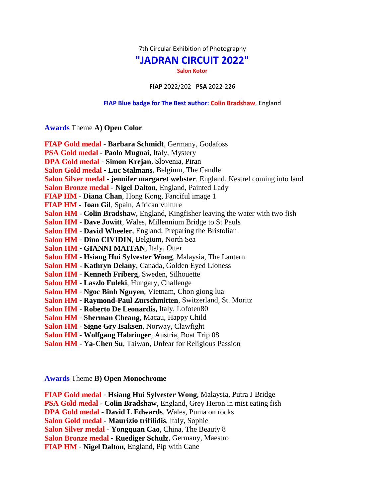7th Circular Exhibition of Photography

## **"JADRAN CIRCUIT 2022"**

**Salon Kotor**

**FIAP** 2022/202 **PSA** 2022-226

## **FIAP Blue badge for The Best author: Colin Bradshaw**, England

**Awards** Theme **A) Open Color**

| FIAP Gold medal - Barbara Schmidt, Germany, Godafoss                              |
|-----------------------------------------------------------------------------------|
| PSA Gold medal - Paolo Mugnai, Italy, Mystery                                     |
| DPA Gold medal - Simon Krejan, Slovenia, Piran                                    |
|                                                                                   |
| Salon Gold medal - Luc Stalmans, Belgium, The Candle                              |
| Salon Silver medal - jennifer margaret webster, England, Kestrel coming into land |
| Salon Bronze medal - Nigel Dalton, England, Painted Lady                          |
| <b>FIAP HM - Diana Chan, Hong Kong, Fanciful image 1</b>                          |
| FIAP HM - Joan Gil, Spain, African vulture                                        |
| Salon HM - Colin Bradshaw, England, Kingfisher leaving the water with two fish    |
| Salon HM - Dave Jowitt, Wales, Millennium Bridge to St Pauls                      |
| Salon HM - David Wheeler, England, Preparing the Bristolian                       |
| Salon HM - Dino CIVIDIN, Belgium, North Sea                                       |
| Salon HM - GIANNI MAITAN, Italy, Otter                                            |
| Salon HM - Hsiang Hui Sylvester Wong, Malaysia, The Lantern                       |
| Salon HM - Kathryn Delany, Canada, Golden Eyed Lioness                            |
| Salon HM - Kenneth Friberg, Sweden, Silhouette                                    |
| Salon HM - Laszlo Fuleki, Hungary, Challenge                                      |
| Salon HM - Ngoc Binh Nguyen, Vietnam, Chon giong lua                              |
| Salon HM - Raymond-Paul Zurschmitten, Switzerland, St. Moritz                     |
| <b>Salon HM - Roberto De Leonardis, Italy, Lofoten80</b>                          |
| Salon HM - Sherman Cheang, Macau, Happy Child                                     |
| Salon HM - Signe Gry Isaksen, Norway, Clawfight                                   |
| Salon HM - Wolfgang Habringer, Austria, Boat Trip 08                              |
| Salon HM - Ya-Chen Su, Taiwan, Unfear for Religious Passion                       |

**Awards** Theme **B) Open Monochrome**

**FIAP Gold medal** - **Hsiang Hui Sylvester Wong**, Malaysia, Putra J Bridge **PSA Gold medal** - **Colin Bradshaw**, England, Grey Heron in mist eating fish **DPA Gold medal** - **David L Edwards**, Wales, Puma on rocks **Salon Gold medal** - **Maurizio trifilidis**, Italy, Sophie **Salon Silver medal** - **Yongquan Cao**, China, The Beauty 8 **Salon Bronze medal** - **Ruediger Schulz**, Germany, Maestro **FIAP HM** - **Nigel Dalton**, England, Pip with Cane